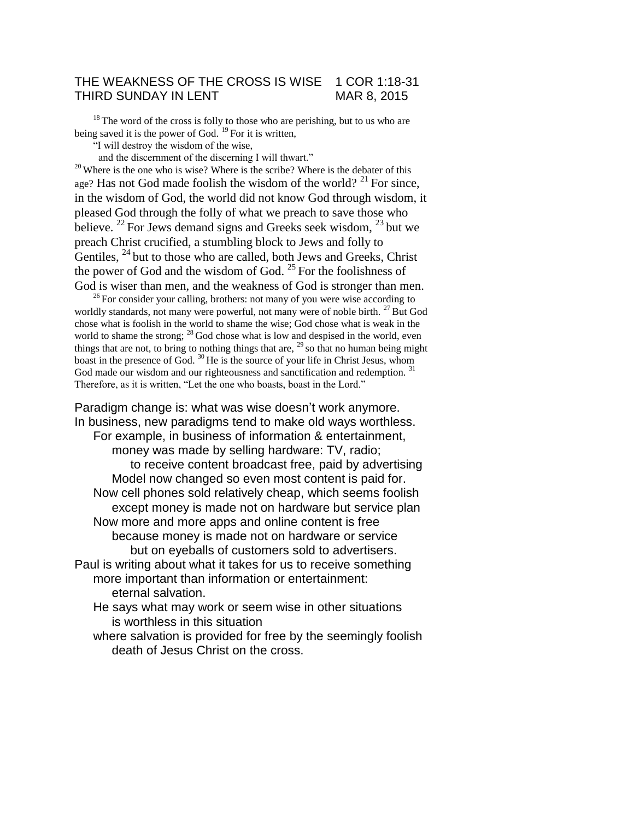### THE WEAKNESS OF THE CROSS IS WISE 1 COR 1:18-31 THIRD SUNDAY IN LENT MAR 8, 2015

<sup>18</sup>The word of the cross is folly to those who are perishing, but to us who are being saved it is the power of God.  $^{19}$  For it is written,

"I will destroy the wisdom of the wise,

and the discernment of the discerning I will thwart."

 $20$  Where is the one who is wise? Where is the scribe? Where is the debater of this age? Has not God made foolish the wisdom of the world? <sup>21</sup> For since, in the wisdom of God, the world did not know God through wisdom, it pleased God through the folly of what we preach to save those who believe. <sup>22</sup> For Jews demand signs and Greeks seek wisdom,  $^{23}$  but we preach Christ crucified, a stumbling block to Jews and folly to Gentiles, <sup>24</sup> but to those who are called, both Jews and Greeks, Christ the power of God and the wisdom of God.  $25$  For the foolishness of God is wiser than men, and the weakness of God is stronger than men.

 $26$  For consider your calling, brothers: not many of you were wise according to worldly standards, not many were powerful, not many were of noble birth. <sup>27</sup> But God chose what is foolish in the world to shame the wise; God chose what is weak in the world to shame the strong;  $^{28}$  God chose what is low and despised in the world, even things that are not, to bring to nothing things that are,  $^{29}$  so that no human being might boast in the presence of God.  $30$  He is the source of your life in Christ Jesus, whom God made our wisdom and our righteousness and sanctification and redemption.<sup>31</sup> Therefore, as it is written, "Let the one who boasts, boast in the Lord."

Paradigm change is: what was wise doesn't work anymore. In business, new paradigms tend to make old ways worthless. For example, in business of information & entertainment, money was made by selling hardware: TV, radio; to receive content broadcast free, paid by advertising Model now changed so even most content is paid for. Now cell phones sold relatively cheap, which seems foolish except money is made not on hardware but service plan Now more and more apps and online content is free because money is made not on hardware or service but on eyeballs of customers sold to advertisers. Paul is writing about what it takes for us to receive something more important than information or entertainment: eternal salvation. He says what may work or seem wise in other situations

is worthless in this situation

where salvation is provided for free by the seemingly foolish death of Jesus Christ on the cross.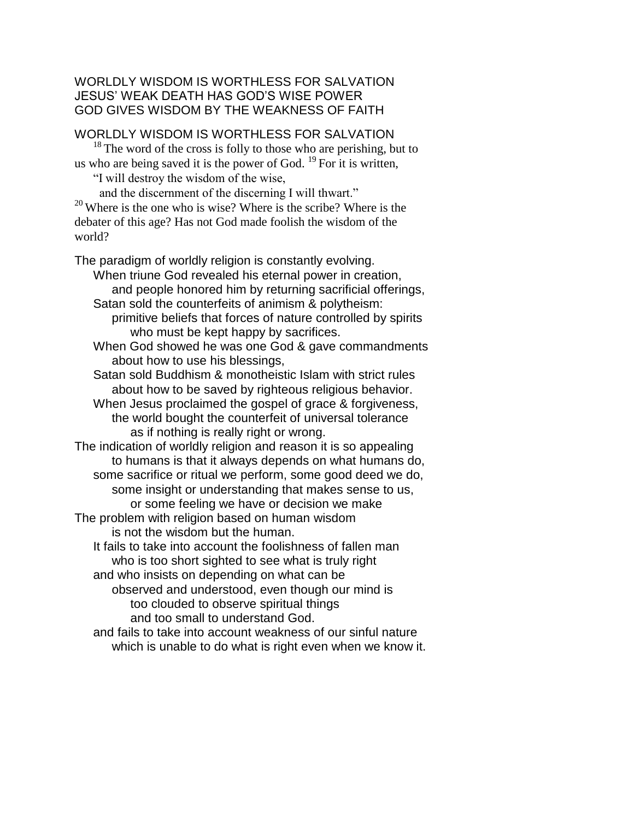# WORLDLY WISDOM IS WORTHLESS FOR SALVATION JESUS' WEAK DEATH HAS GOD'S WISE POWER GOD GIVES WISDOM BY THE WEAKNESS OF FAITH

### WORLDLY WISDOM IS WORTHLESS FOR SALVATION

 $18$ <sup>18</sup>The word of the cross is folly to those who are perishing, but to us who are being saved it is the power of God.  $^{19}$  For it is written,

"I will destroy the wisdom of the wise,

 and the discernment of the discerning I will thwart."  $20$  Where is the one who is wise? Where is the scribe? Where is the debater of this age? Has not God made foolish the wisdom of the world?

The paradigm of worldly religion is constantly evolving.

When triune God revealed his eternal power in creation, and people honored him by returning sacrificial offerings, Satan sold the counterfeits of animism & polytheism:

primitive beliefs that forces of nature controlled by spirits who must be kept happy by sacrifices.

When God showed he was one God & gave commandments about how to use his blessings,

Satan sold Buddhism & monotheistic Islam with strict rules about how to be saved by righteous religious behavior.

When Jesus proclaimed the gospel of grace & forgiveness, the world bought the counterfeit of universal tolerance as if nothing is really right or wrong.

The indication of worldly religion and reason it is so appealing to humans is that it always depends on what humans do, some sacrifice or ritual we perform, some good deed we do, some insight or understanding that makes sense to us, or some feeling we have or decision we make

The problem with religion based on human wisdom is not the wisdom but the human.

It fails to take into account the foolishness of fallen man who is too short sighted to see what is truly right and who insists on depending on what can be

observed and understood, even though our mind is too clouded to observe spiritual things and too small to understand God.

and fails to take into account weakness of our sinful nature which is unable to do what is right even when we know it.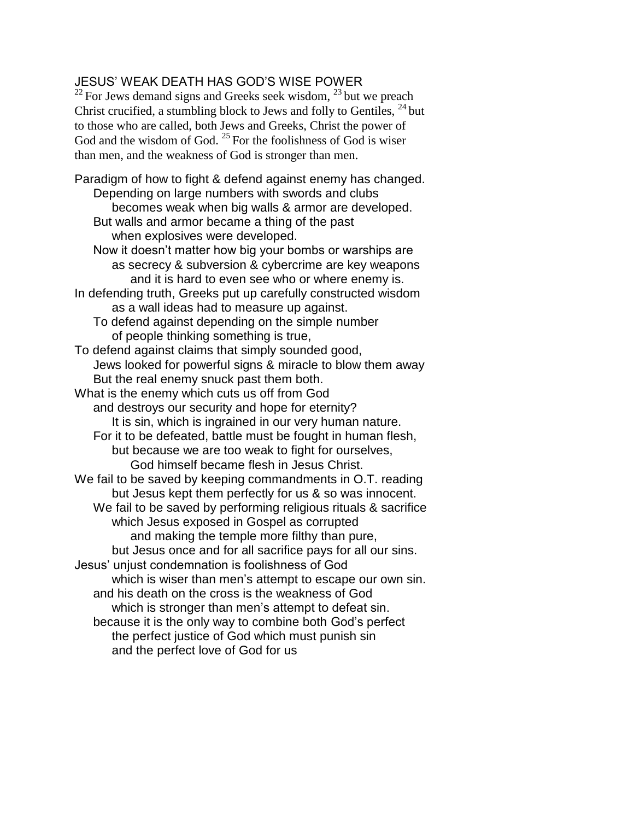# JESUS' WEAK DEATH HAS GOD'S WISE POWER

 $22$  For Jews demand signs and Greeks seek wisdom,  $23$  but we preach Christ crucified, a stumbling block to Jews and folly to Gentiles, <sup>24</sup> but to those who are called, both Jews and Greeks, Christ the power of God and the wisdom of God.  $^{25}$  For the foolishness of God is wiser than men, and the weakness of God is stronger than men.

Paradigm of how to fight & defend against enemy has changed. Depending on large numbers with swords and clubs becomes weak when big walls & armor are developed. But walls and armor became a thing of the past when explosives were developed. Now it doesn't matter how big your bombs or warships are as secrecy & subversion & cybercrime are key weapons and it is hard to even see who or where enemy is. In defending truth, Greeks put up carefully constructed wisdom as a wall ideas had to measure up against. To defend against depending on the simple number of people thinking something is true, To defend against claims that simply sounded good, Jews looked for powerful signs & miracle to blow them away But the real enemy snuck past them both. What is the enemy which cuts us off from God and destroys our security and hope for eternity? It is sin, which is ingrained in our very human nature. For it to be defeated, battle must be fought in human flesh, but because we are too weak to fight for ourselves, God himself became flesh in Jesus Christ. We fail to be saved by keeping commandments in O.T. reading but Jesus kept them perfectly for us & so was innocent. We fail to be saved by performing religious rituals & sacrifice which Jesus exposed in Gospel as corrupted and making the temple more filthy than pure, but Jesus once and for all sacrifice pays for all our sins. Jesus' unjust condemnation is foolishness of God which is wiser than men's attempt to escape our own sin. and his death on the cross is the weakness of God which is stronger than men's attempt to defeat sin. because it is the only way to combine both God's perfect the perfect justice of God which must punish sin and the perfect love of God for us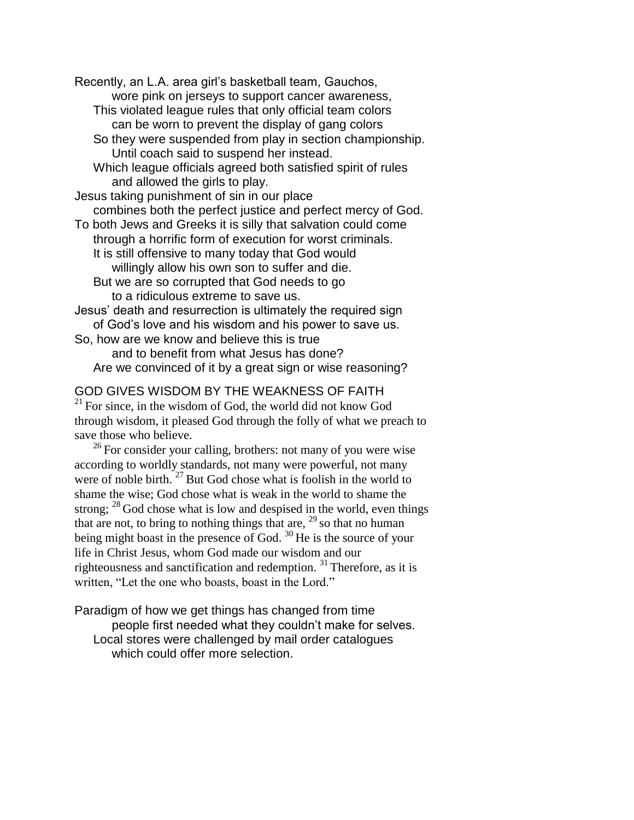Recently, an L.A. area girl's basketball team, Gauchos, wore pink on jerseys to support cancer awareness, This violated league rules that only official team colors can be worn to prevent the display of gang colors So they were suspended from play in section championship. Until coach said to suspend her instead. Which league officials agreed both satisfied spirit of rules and allowed the girls to play. Jesus taking punishment of sin in our place combines both the perfect justice and perfect mercy of God. To both Jews and Greeks it is silly that salvation could come through a horrific form of execution for worst criminals. It is still offensive to many today that God would willingly allow his own son to suffer and die. But we are so corrupted that God needs to go to a ridiculous extreme to save us. Jesus' death and resurrection is ultimately the required sign of God's love and his wisdom and his power to save us. So, how are we know and believe this is true and to benefit from what Jesus has done? Are we convinced of it by a great sign or wise reasoning?

### GOD GIVES WISDOM BY THE WEAKNESS OF FAITH

 $21$  For since, in the wisdom of God, the world did not know God through wisdom, it pleased God through the folly of what we preach to save those who believe.

 $^{26}$  For consider your calling, brothers: not many of you were wise according to worldly standards, not many were powerful, not many were of noble birth.  $27$  But God chose what is foolish in the world to shame the wise; God chose what is weak in the world to shame the strong;  $^{28}$  God chose what is low and despised in the world, even things that are not, to bring to nothing things that are,  $29$  so that no human being might boast in the presence of God.  $^{30}$  He is the source of your life in Christ Jesus, whom God made our wisdom and our righteousness and sanctification and redemption.  $31$  Therefore, as it is written, "Let the one who boasts, boast in the Lord."

Paradigm of how we get things has changed from time people first needed what they couldn't make for selves. Local stores were challenged by mail order catalogues which could offer more selection.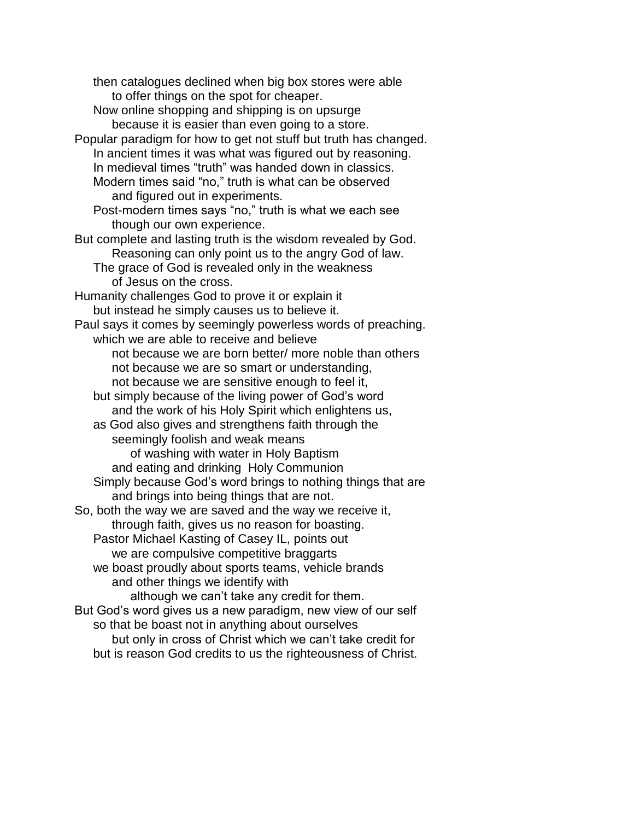then catalogues declined when big box stores were able to offer things on the spot for cheaper. Now online shopping and shipping is on upsurge because it is easier than even going to a store. Popular paradigm for how to get not stuff but truth has changed. In ancient times it was what was figured out by reasoning. In medieval times "truth" was handed down in classics. Modern times said "no," truth is what can be observed and figured out in experiments. Post-modern times says "no," truth is what we each see though our own experience. But complete and lasting truth is the wisdom revealed by God. Reasoning can only point us to the angry God of law. The grace of God is revealed only in the weakness of Jesus on the cross. Humanity challenges God to prove it or explain it but instead he simply causes us to believe it. Paul says it comes by seemingly powerless words of preaching. which we are able to receive and believe not because we are born better/ more noble than others not because we are so smart or understanding, not because we are sensitive enough to feel it, but simply because of the living power of God's word and the work of his Holy Spirit which enlightens us, as God also gives and strengthens faith through the seemingly foolish and weak means of washing with water in Holy Baptism and eating and drinking Holy Communion Simply because God's word brings to nothing things that are and brings into being things that are not. So, both the way we are saved and the way we receive it, through faith, gives us no reason for boasting. Pastor Michael Kasting of Casey IL, points out we are compulsive competitive braggarts we boast proudly about sports teams, vehicle brands and other things we identify with although we can't take any credit for them. But God's word gives us a new paradigm, new view of our self so that be boast not in anything about ourselves but only in cross of Christ which we can't take credit for but is reason God credits to us the righteousness of Christ.